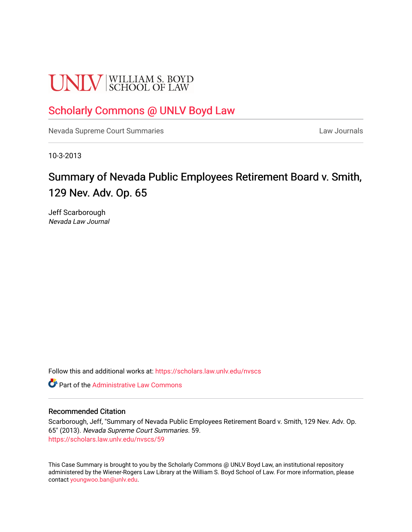# **UNLV** SCHOOL OF LAW

# [Scholarly Commons @ UNLV Boyd Law](https://scholars.law.unlv.edu/)

[Nevada Supreme Court Summaries](https://scholars.law.unlv.edu/nvscs) **Law Journals** Law Journals

10-3-2013

# Summary of Nevada Public Employees Retirement Board v. Smith, 129 Nev. Adv. Op. 65

Jeff Scarborough Nevada Law Journal

Follow this and additional works at: [https://scholars.law.unlv.edu/nvscs](https://scholars.law.unlv.edu/nvscs?utm_source=scholars.law.unlv.edu%2Fnvscs%2F59&utm_medium=PDF&utm_campaign=PDFCoverPages)

**C** Part of the Administrative Law Commons

#### Recommended Citation

Scarborough, Jeff, "Summary of Nevada Public Employees Retirement Board v. Smith, 129 Nev. Adv. Op. 65" (2013). Nevada Supreme Court Summaries. 59. [https://scholars.law.unlv.edu/nvscs/59](https://scholars.law.unlv.edu/nvscs/59?utm_source=scholars.law.unlv.edu%2Fnvscs%2F59&utm_medium=PDF&utm_campaign=PDFCoverPages) 

This Case Summary is brought to you by the Scholarly Commons @ UNLV Boyd Law, an institutional repository administered by the Wiener-Rogers Law Library at the William S. Boyd School of Law. For more information, please contact [youngwoo.ban@unlv.edu](mailto:youngwoo.ban@unlv.edu).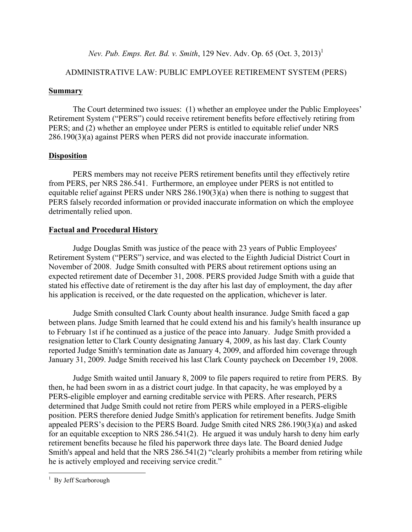*Nev. Pub. Emps. Ret. Bd. v. Smith, 129 Nev. Adv. Op. 65 (Oct. 3, 2013)*<sup>1</sup>

# ADMINISTRATIVE LAW: PUBLIC EMPLOYEE RETIREMENT SYSTEM (PERS)

## **Summary**

The Court determined two issues: (1) whether an employee under the Public Employees' Retirement System ("PERS") could receive retirement benefits before effectively retiring from PERS; and (2) whether an employee under PERS is entitled to equitable relief under NRS 286.190(3)(a) against PERS when PERS did not provide inaccurate information.

# **Disposition**

PERS members may not receive PERS retirement benefits until they effectively retire from PERS, per NRS 286.541. Furthermore, an employee under PERS is not entitled to equitable relief against PERS under NRS 286.190(3)(a) when there is nothing to suggest that PERS falsely recorded information or provided inaccurate information on which the employee detrimentally relied upon.

# **Factual and Procedural History**

Judge Douglas Smith was justice of the peace with 23 years of Public Employees' Retirement System ("PERS") service, and was elected to the Eighth Judicial District Court in November of 2008. Judge Smith consulted with PERS about retirement options using an expected retirement date of December 31, 2008. PERS provided Judge Smith with a guide that stated his effective date of retirement is the day after his last day of employment, the day after his application is received, or the date requested on the application, whichever is later.

Judge Smith consulted Clark County about health insurance. Judge Smith faced a gap between plans. Judge Smith learned that he could extend his and his family's health insurance up to February 1st if he continued as a justice of the peace into January. Judge Smith provided a resignation letter to Clark County designating January 4, 2009, as his last day. Clark County reported Judge Smith's termination date as January 4, 2009, and afforded him coverage through January 31, 2009. Judge Smith received his last Clark County paycheck on December 19, 2008.

Judge Smith waited until January 8, 2009 to file papers required to retire from PERS. By then, he had been sworn in as a district court judge. In that capacity, he was employed by a PERS-eligible employer and earning creditable service with PERS. After research, PERS determined that Judge Smith could not retire from PERS while employed in a PERS-eligible position. PERS therefore denied Judge Smith's application for retirement benefits. Judge Smith appealed PERS's decision to the PERS Board. Judge Smith cited NRS 286.190(3)(a) and asked for an equitable exception to NRS 286.541(2). He argued it was unduly harsh to deny him early retirement benefits because he filed his paperwork three days late. The Board denied Judge Smith's appeal and held that the NRS 286.541(2) "clearly prohibits a member from retiring while he is actively employed and receiving service credit."

 

<sup>&</sup>lt;sup>1</sup> By Jeff Scarborough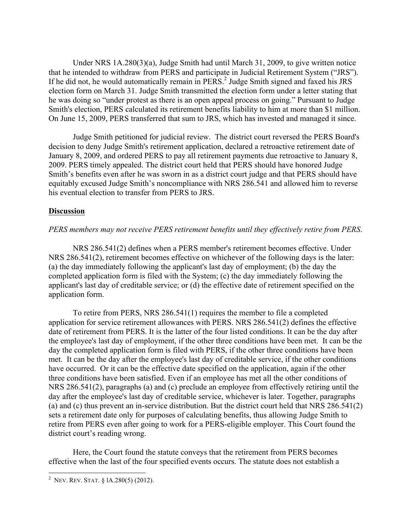Under NRS 1A.280(3)(a), Judge Smith had until March 31, 2009, to give written notice that he intended to withdraw from PERS and participate in Judicial Retirement System ("JRS"). If he did not, he would automatically remain in PERS.<sup>2</sup> Judge Smith signed and faxed his JRS election form on March 31. Judge Smith transmitted the election form under a letter stating that he was doing so "under protest as there is an open appeal process on going." Pursuant to Judge Smith's election, PERS calculated its retirement benefits liability to him at more than \$1 million. On June 15, 2009, PERS transferred that sum to JRS, which has invested and managed it since.

Judge Smith petitioned for judicial review. The district court reversed the PERS Board's decision to deny Judge Smith's retirement application, declared a retroactive retirement date of January 8, 2009, and ordered PERS to pay all retirement payments due retroactive to January 8, 2009. PERS timely appealed. The district court held that PERS should have honored Judge Smith's benefits even after he was sworn in as a district court judge and that PERS should have equitably excused Judge Smith's noncompliance with NRS 286.541 and allowed him to reverse his eventual election to transfer from PERS to JRS.

### **Discussion**

#### *PERS members may not receive PERS retirement benefits until they effectively retire from PERS*.

NRS 286.541(2) defines when a PERS member's retirement becomes effective. Under NRS 286.541(2), retirement becomes effective on whichever of the following days is the later: (a) the day immediately following the applicant's last day of employment; (b) the day the completed application form is filed with the System; (c) the day immediately following the applicant's last day of creditable service; or (d) the effective date of retirement specified on the application form.

To retire from PERS, NRS 286.541(1) requires the member to file a completed application for service retirement allowances with PERS. NRS 286.541(2) defines the effective date of retirement from PERS. It is the latter of the four listed conditions. It can be the day after the employee's last day of employment, if the other three conditions have been met. It can be the day the completed application form is filed with PERS, if the other three conditions have been met. It can be the day after the employee's last day of creditable service, if the other conditions have occurred. Or it can be the effective date specified on the application, again if the other three conditions have been satisfied. Even if an employee has met all the other conditions of NRS 286.541(2), paragraphs (a) and (c) preclude an employee from effectively retiring until the day after the employee's last day of creditable service, whichever is later. Together, paragraphs (a) and (c) thus prevent an in-service distribution. But the district court held that NRS 286.541(2) sets a retirement date only for purposes of calculating benefits, thus allowing Judge Smith to retire from PERS even after going to work for a PERS-eligible employer. This Court found the district court's reading wrong.

Here, the Court found the statute conveys that the retirement from PERS becomes effective when the last of the four specified events occurs. The statute does not establish a

 <sup>2</sup> NEV. REV. STAT.  $\S$  1A.280(5) (2012).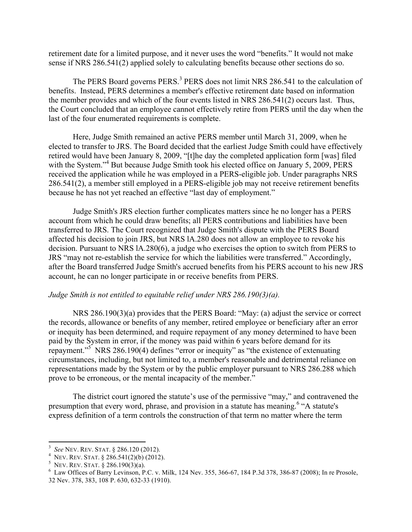retirement date for a limited purpose, and it never uses the word "benefits." It would not make sense if NRS 286.541(2) applied solely to calculating benefits because other sections do so.

The PERS Board governs PERS.<sup>3</sup> PERS does not limit NRS 286.541 to the calculation of benefits. Instead, PERS determines a member's effective retirement date based on information the member provides and which of the four events listed in NRS 286.541(2) occurs last. Thus, the Court concluded that an employee cannot effectively retire from PERS until the day when the last of the four enumerated requirements is complete.

Here, Judge Smith remained an active PERS member until March 31, 2009, when he elected to transfer to JRS. The Board decided that the earliest Judge Smith could have effectively retired would have been January 8, 2009, "[t]he day the completed application form [was] filed with the System."<sup>4</sup> But because Judge Smith took his elected office on January 5, 2009, PERS received the application while he was employed in a PERS-eligible job. Under paragraphs NRS 286.541(2), a member still employed in a PERS-eligible job may not receive retirement benefits because he has not yet reached an effective "last day of employment."

Judge Smith's JRS election further complicates matters since he no longer has a PERS account from which he could draw benefits; all PERS contributions and liabilities have been transferred to JRS. The Court recognized that Judge Smith's dispute with the PERS Board affected his decision to join JRS, but NRS lA.280 does not allow an employee to revoke his decision. Pursuant to NRS lA.280(6), a judge who exercises the option to switch from PERS to JRS "may not re-establish the service for which the liabilities were transferred." Accordingly, after the Board transferred Judge Smith's accrued benefits from his PERS account to his new JRS account, he can no longer participate in or receive benefits from PERS.

#### *Judge Smith is not entitled to equitable relief under NRS 286.190(3)(a).*

NRS 286.190(3)(a) provides that the PERS Board: "May: (a) adjust the service or correct the records, allowance or benefits of any member, retired employee or beneficiary after an error or inequity has been determined, and require repayment of any money determined to have been paid by the System in error, if the money was paid within 6 years before demand for its repayment."<sup>5</sup> NRS 286.190(4) defines "error or inequity" as "the existence of extenuating circumstances, including, but not limited to, a member's reasonable and detrimental reliance on representations made by the System or by the public employer pursuant to NRS 286.288 which prove to be erroneous, or the mental incapacity of the member."

The district court ignored the statute's use of the permissive "may," and contravened the presumption that every word, phrase, and provision in a statute has meaning.<sup>6</sup> "A statute's express definition of a term controls the construction of that term no matter where the term

 

<sup>&</sup>lt;sup>3</sup> See NEV. REV. STAT. § 286.120 (2012).<br><sup>4</sup> NEV. REV. STAT. § 286.541(2)(b) (2012).

<sup>&</sup>lt;sup>5</sup> NEV. REV. STAT. § 286.190(3)(a).<br><sup>6</sup> Law Offices of Barry Levinson, P.C. v. Milk, 124 Nev. 355, 366-67, 184 P.3d 378, 386-87 (2008); In re Prosole, 32 Nev. 378, 383, 108 P. 630, 632-33 (1910).